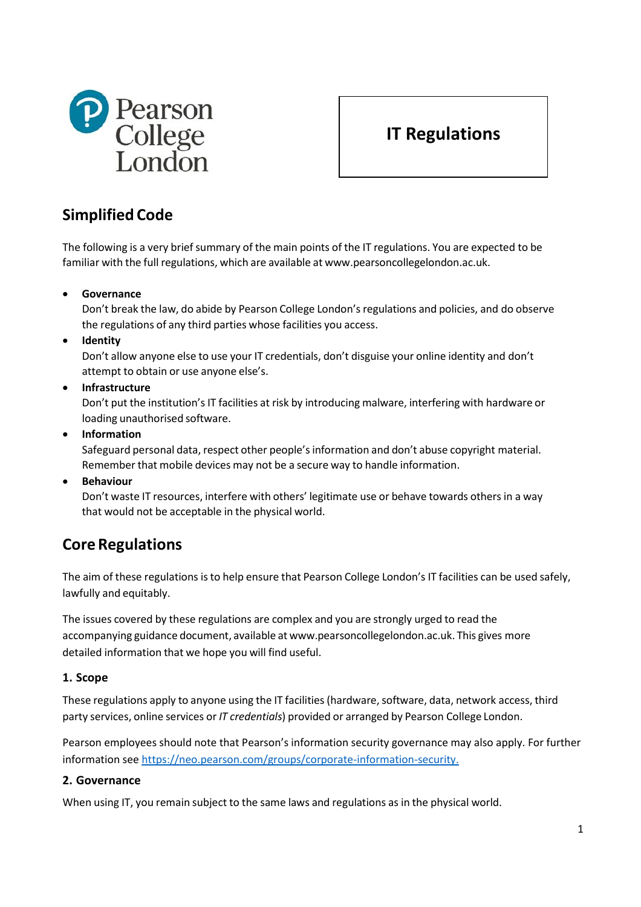

# **IT Regulations**

# **Simplified Code**

The following is a very brief summary of the main points of the IT regulations. You are expected to be familiar with the full regulations, which are available at [www.pearsoncollegelondon.ac.uk.](http://www.pearsoncollegelondon.ac.uk/)

• **Governance**

Don't break the law, do abide by Pearson College London'sregulations and policies, and do observe the regulations of any third parties whose facilities you access.

• **Identity**

Don't allow anyone else to use your IT credentials, don't disguise your online identity and don't attempt to obtain or use anyone else's.

• **Infrastructure**

Don't put the institution's IT facilities at risk by introducing malware, interfering with hardware or loading unauthorised software.

• **Information**

Safeguard personal data, respect other people'sinformation and don't abuse copyright material. Remember that mobile devices may not be a secure way to handle information.

• **Behaviour**

Don't waste IT resources, interfere with others' legitimate use or behave towards othersin a way that would not be acceptable in the physical world.

# **CoreRegulations**

The aim of these regulations isto help ensure that Pearson College London's IT facilities can be used safely, lawfully and equitably.

The issues covered by these regulations are complex and you are strongly urged to read the accompanying guidance document, available at [www.pearsoncollegelondon.ac.uk.](http://www.pearsoncollegelondon.ac.uk/) This gives more detailed information that we hope you will find useful.

# **1. Scope**

These regulations apply to anyone using the IT facilities (hardware, software, data, network access, third party services, online services or *IT credentials*) provided or arranged by Pearson College London.

Pearson employees should note that Pearson's information security governance may also apply. For further information see [https://neo.pearson.com/groups/corporate-information-security.](https://neo.pearson.com/groups/corporate-information-security)

# **2. Governance**

When using IT, you remain subject to the same laws and regulations as in the physical world.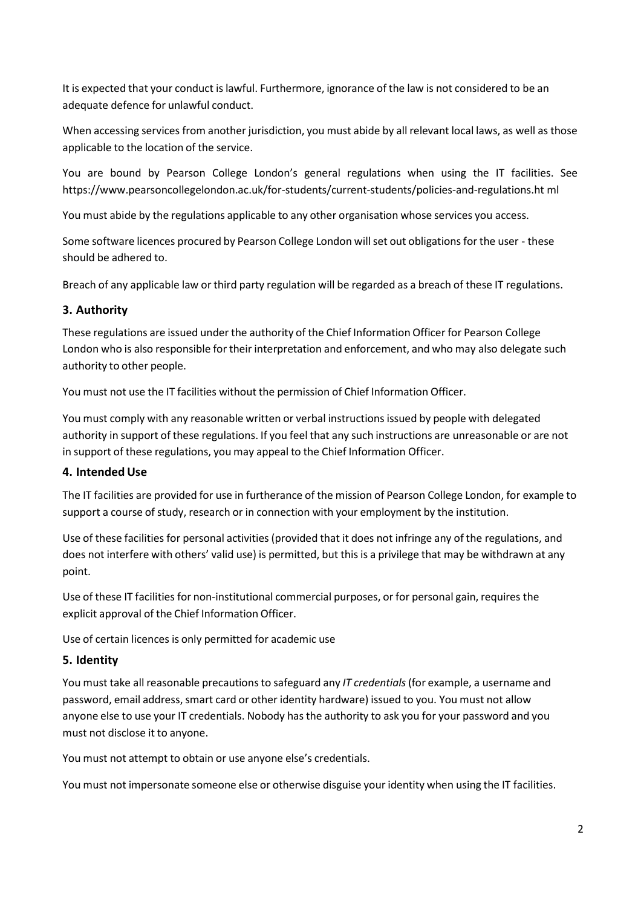It is expected that your conduct is lawful. Furthermore, ignorance of the law is not considered to be an adequate defence for unlawful conduct.

When accessing services from another jurisdiction, you must abide by all relevant local laws, as well as those applicable to the location of the service.

You are bound by Pearson College London's general regulations when using the IT facilities. See [https://www.pearsoncollegelondon.ac.uk/for-students/current-students/policies-and-regulations.ht](https://www.pearsoncollegelondon.ac.uk/for-students/current-students/policies-and-regulations.html) [ml](https://www.pearsoncollegelondon.ac.uk/for-students/current-students/policies-and-regulations.html)

You must abide by the regulations applicable to any other organisation whose services you access.

Some software licences procured by Pearson College London will set out obligations for the user - these should be adhered to.

Breach of any applicable law or third party regulation will be regarded as a breach of these IT regulations.

## **3. Authority**

These regulations are issued under the authority of the Chief Information Officer for Pearson College London who is also responsible for their interpretation and enforcement, and who may also delegate such authority to other people.

You must not use the IT facilities without the permission of Chief Information Officer.

You must comply with any reasonable written or verbal instructions issued by people with delegated authority in support of these regulations. If you feel that any such instructions are unreasonable or are not in support of these regulations, you may appeal to the Chief Information Officer.

## **4. IntendedUse**

The IT facilities are provided for use in furtherance of the mission of Pearson College London, for example to support a course of study, research or in connection with your employment by the institution.

Use of these facilities for personal activities (provided that it does not infringe any of the regulations, and does not interfere with others' valid use) is permitted, but this is a privilege that may be withdrawn at any point.

Use of these IT facilities for non-institutional commercial purposes, or for personal gain, requires the explicit approval of the Chief Information Officer.

Use of certain licences is only permitted for academic use

## **5. Identity**

You must take all reasonable precautions to safeguard any *IT credentials* (for example, a username and password, email address, smart card or other identity hardware) issued to you. You must not allow anyone else to use your IT credentials. Nobody has the authority to ask you for your password and you must not disclose it to anyone.

You must not attempt to obtain or use anyone else's credentials.

You must not impersonate someone else or otherwise disguise your identity when using the IT facilities.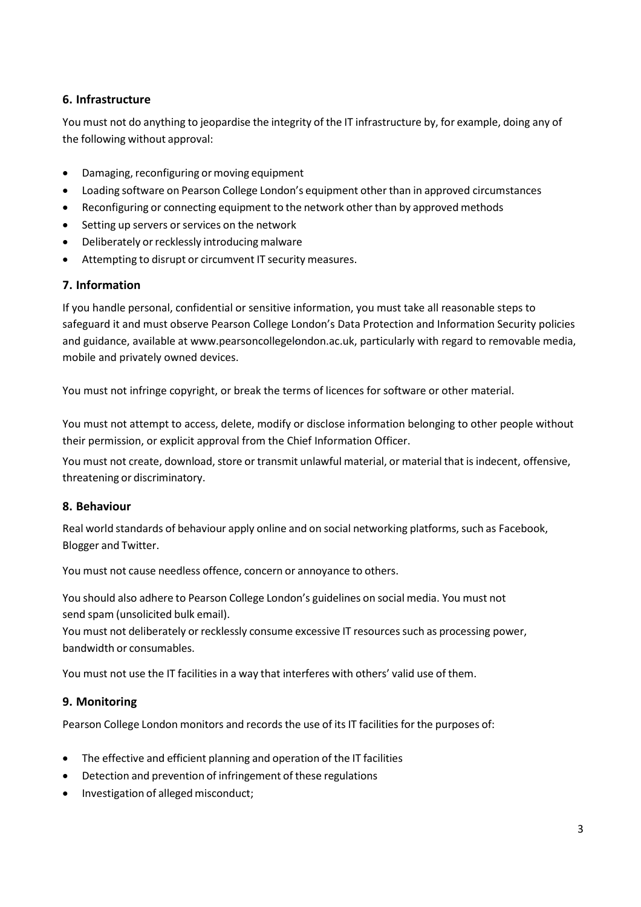# **6. Infrastructure**

You must not do anything to jeopardise the integrity of the IT infrastructure by, for example, doing any of the following without approval:

- Damaging, reconfiguring or moving equipment
- Loading software on Pearson College London's equipment other than in approved circumstances
- Reconfiguring or connecting equipment to the network other than by approved methods
- Setting up servers or services on the network
- Deliberately or recklessly introducing malware
- Attempting to disrupt or circumvent IT security measures.

## **7. Information**

If you handle personal, confidential or sensitive information, you must take all reasonable steps to safeguard it and must observe Pearson College London's Data Protection and Information Security policies and guidance, available at www.pearsoncollegelondon.ac.uk, particularly with regard to removable media, mobile and privately owned devices.

You must not infringe copyright, or break the terms of licences for software or other material.

You must not attempt to access, delete, modify or disclose information belonging to other people without their permission, or explicit approval from the Chief Information Officer.

You must not create, download, store or transmit unlawful material, or material that is indecent, offensive, threatening or discriminatory.

## **8. Behaviour**

Real world standards of behaviour apply online and on social networking platforms, such as Facebook, Blogger and Twitter.

You must not cause needless offence, concern or annoyance to others.

You should also adhere to Pearson College London's guidelines on social media. You must not send spam (unsolicited bulk email).

You must not deliberately or recklessly consume excessive IT resources such as processing power, bandwidth or consumables.

You must not use the IT facilities in a way that interferes with others' valid use of them.

## **9. Monitoring**

Pearson College London monitors and records the use of its IT facilities for the purposes of:

- The effective and efficient planning and operation of the IT facilities
- Detection and prevention of infringement of these regulations
- Investigation of alleged misconduct;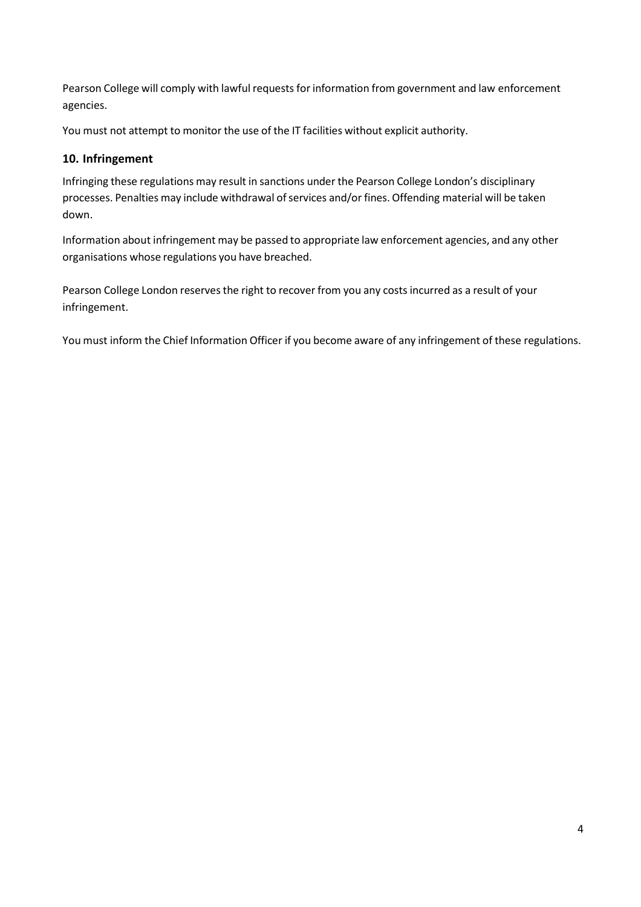Pearson College will comply with lawful requests for information from government and law enforcement agencies.

You must not attempt to monitor the use of the IT facilities without explicit authority.

# **10. Infringement**

Infringing these regulations may result in sanctions under the Pearson College London's disciplinary processes. Penalties may include withdrawal of services and/or fines. Offending material will be taken down.

Information about infringement may be passed to appropriate law enforcement agencies, and any other organisations whose regulations you have breached.

Pearson College London reserves the right to recover from you any costs incurred as a result of your infringement.

You must inform the Chief Information Officer if you become aware of any infringement of these regulations.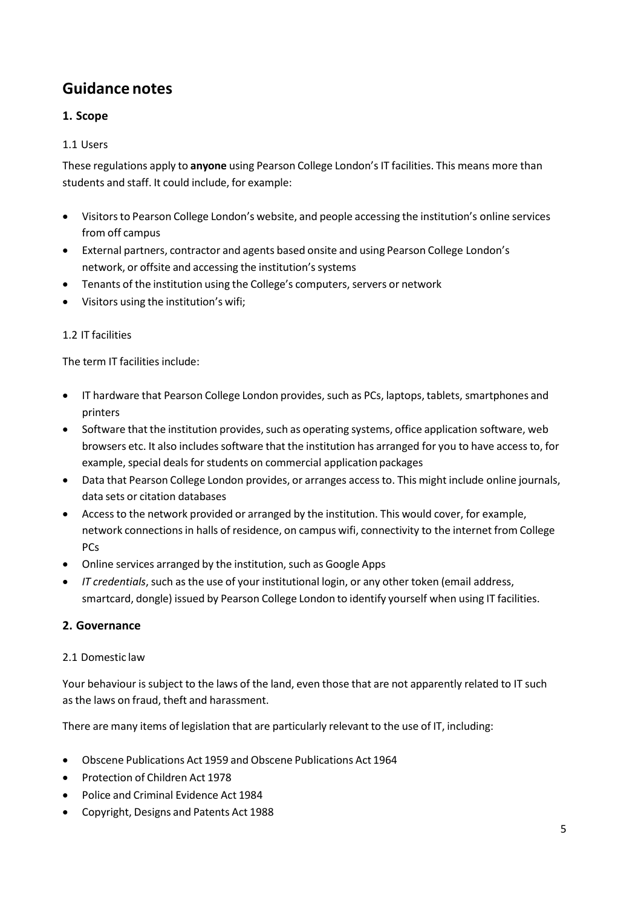# **Guidance notes**

# **1. Scope**

# 1.1 Users

These regulations apply to **anyone** using Pearson College London's IT facilities. This means more than students and staff. It could include, for example:

- Visitors to Pearson College London's website, and people accessing the institution's online services from off campus
- External partners, contractor and agents based onsite and using Pearson College London's network, or offsite and accessing the institution's systems
- Tenants of the institution using the College's computers, servers or network
- Visitors using the institution's wifi;

## 1.2 IT facilities

The term IT facilities include:

- IT hardware that Pearson College London provides, such as PCs, laptops, tablets, smartphones and printers
- Software that the institution provides, such as operating systems, office application software, web browsers etc. It also includes software that the institution has arranged for you to have accessto, for example, special deals for students on commercial application packages
- Data that Pearson College London provides, or arranges accessto. This might include online journals, data sets or citation databases
- Access to the network provided or arranged by the institution. This would cover, for example, network connections in halls of residence, on campus wifi, connectivity to the internet from College PCs
- Online services arranged by the institution, such as Google Apps
- *IT credentials*, such asthe use of your institutional login, or any other token (email address, smartcard, dongle) issued by Pearson College London to identify yourself when using IT facilities.

# **2. Governance**

## 2.1 Domestic law

Your behaviour is subject to the laws of the land, even those that are not apparently related to IT such as the laws on fraud, theft and harassment.

There are many items of legislation that are particularly relevant to the use of IT, including:

- Obscene Publications Act [1959](http://www.legislation.gov.uk/ukpga/Eliz2/7-8/66/contents) and Obscene Publications Act [1964](http://www.legislation.gov.uk/ukpga/1964/74)
- [Protection](http://www.legislation.gov.uk/ukpga/1978/37/contents) of Children Act 1978
- Police and Criminal [Evidence](http://www.legislation.gov.uk/ukpga/1984/60/contents) Act 1984
- [Copyright,](http://www.legislation.gov.uk/ukpga/1988/48/contents) Designs and Patents Act 1988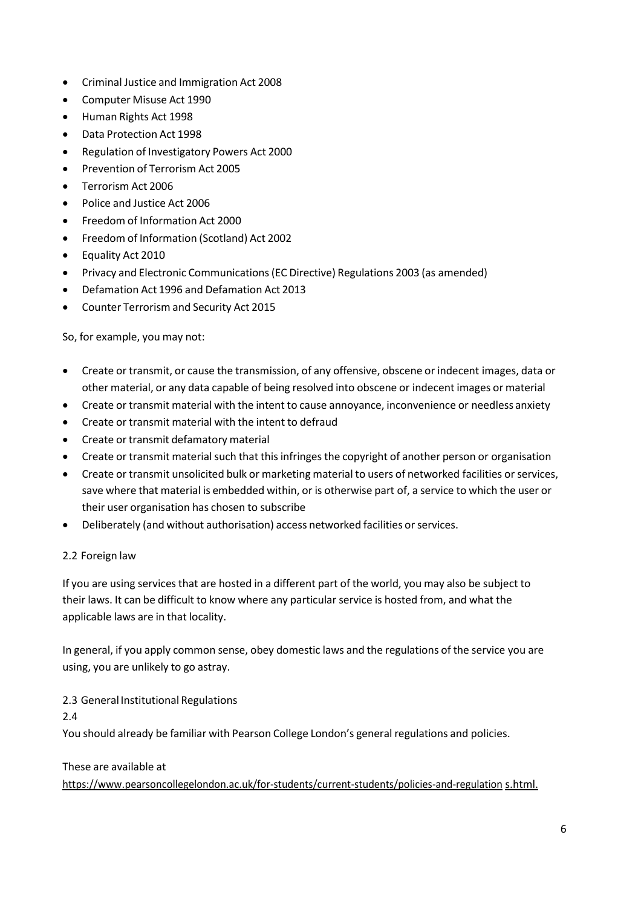- Criminal Justice and [Immigration](http://www.legislation.gov.uk/ukpga/2008/4/contents) Act 2008
- [Computer](http://www.legislation.gov.uk/ukpga/1990/18/contents) Misuse Act 1990
- [Human](http://www.legislation.gov.uk/ukpga/1998/42/contents) Rights Act 1998
- Data [Protection](http://www.legislation.gov.uk/ukpga/1998/29/contents) Act 1998
- Regulation of [Investigatory](http://www.legislation.gov.uk/ukpga/2000/23/contents) Powers Act 2000
- [Prevention](http://www.legislation.gov.uk/ukpga/2005/2/contents) of Terrorism Act 2005
- [Terrorism](http://www.legislation.gov.uk/ukpga/2006/11/contents) Act 2006
- Police and [Justice](http://www.legislation.gov.uk/ukpga/2006/48/contents) Act 2006
- Freedom of [Information](http://www.legislation.gov.uk/ukpga/2000/36/contents) Act 2000
- Freedom of [Information](http://www.legislation.gov.uk/asp/2002/13/contents) (Scotland) Act 2002
- [Equality](http://www.legislation.gov.uk/ukpga/2010/15/contents) Act 2010
- Privacy and Electronic [Communications\(EC](http://www.legislation.gov.uk/uksi/2003/2426/contents/made) Directive) Regulations 2003 (as amended)
- Defamation Act [1996](http://www.legislation.gov.uk/ukpga/1996/31/contents) and Defamation Act [2013](http://www.legislation.gov.uk/ukpga/2013/26/contents)
- Counter [Terrorism](http://www.legislation.gov.uk/ukpga/2015/6/contents/enacted) and Security Act 2015

So, for example, you may not:

- Create or transmit, or cause the transmission, of any offensive, obscene or indecent images, data or other material, or any data capable of being resolved into obscene or indecent images or material
- Create or transmit material with the intent to cause annoyance, inconvenience or needless anxiety
- Create or transmit material with the intent to defraud
- Create or transmit defamatory material
- Create or transmit material such that this infringes the copyright of another person or organisation
- Create or transmit unsolicited bulk or marketing material to users of networked facilities or services, save where that material is embedded within, or is otherwise part of, a service to which the user or their user organisation has chosen to subscribe
- Deliberately (and without authorisation) access networked facilities or services.

#### 2.2 Foreign law

If you are using services that are hosted in a different part of the world, you may also be subject to their laws. It can be difficult to know where any particular service is hosted from, and what the applicable laws are in that locality.

In general, if you apply common sense, obey domestic laws and the regulations of the service you are using, you are unlikely to go astray.

2.3 General Institutional Regulations

2.4

You should already be familiar with Pearson College London's general regulations and policies.

## These are available at

[https://www.pearsoncollegelondon.ac.uk/for-students/current-students/policies-and-regulation](https://www.pearsoncollegelondon.ac.uk/for-students/current-students/policies-and-regulations.html) [s.html.](https://www.pearsoncollegelondon.ac.uk/for-students/current-students/policies-and-regulations.html)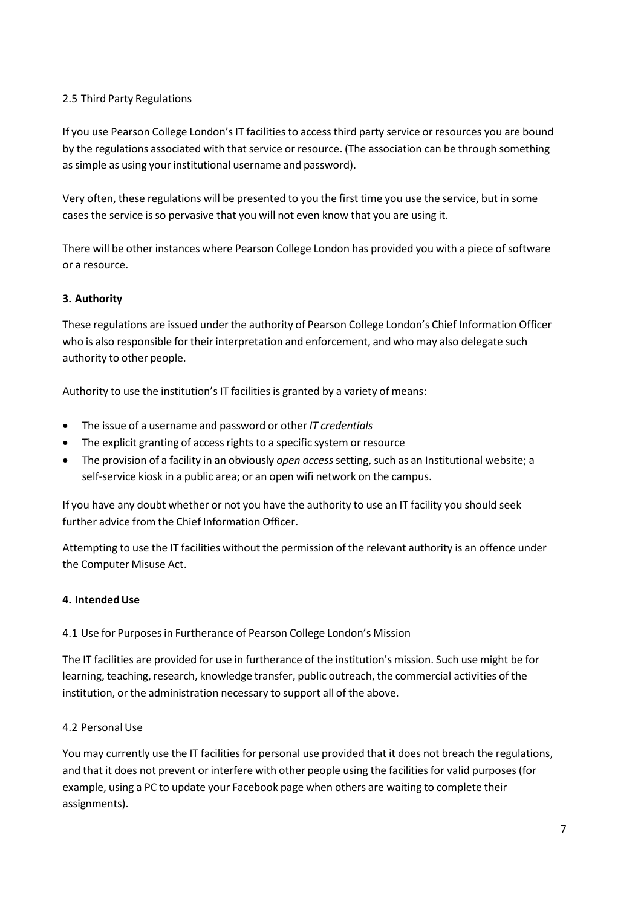## 2.5 Third Party Regulations

If you use Pearson College London's IT facilities to access third party service or resources you are bound by the regulations associated with that service or resource. (The association can be through something as simple as using your institutional username and password).

Very often, these regulations will be presented to you the first time you use the service, but in some cases the service is so pervasive that you will not even know that you are using it.

There will be other instances where Pearson College London has provided you with a piece ofsoftware or a resource.

## **3. Authority**

These regulations are issued under the authority of Pearson College London's Chief Information Officer who is also responsible for their interpretation and enforcement, and who may also delegate such authority to other people.

Authority to use the institution's IT facilities is granted by a variety of means:

- The issue of a username and password or other *IT credentials*
- The explicit granting of access rights to a specific system or resource
- The provision of a facility in an obviously *open access*setting, such as an Institutional website; a self-service kiosk in a public area; or an open wifi network on the campus.

If you have any doubt whether or not you have the authority to use an IT facility you should seek further advice from the Chief Information Officer.

Attempting to use the IT facilities without the permission of the relevant authority is an offence under the Computer Misuse Act.

## **4. IntendedUse**

4.1 Use for Purposesin Furtherance of Pearson College London's Mission

The IT facilities are provided for use in furtherance of the institution's mission. Such use might be for learning, teaching, research, knowledge transfer, public outreach, the commercial activities of the institution, or the administration necessary to support all of the above.

## 4.2 Personal Use

You may currently use the IT facilities for personal use provided that it does not breach the regulations, and that it does not prevent or interfere with other people using the facilities for valid purposes (for example, using a PC to update your Facebook page when others are waiting to complete their assignments).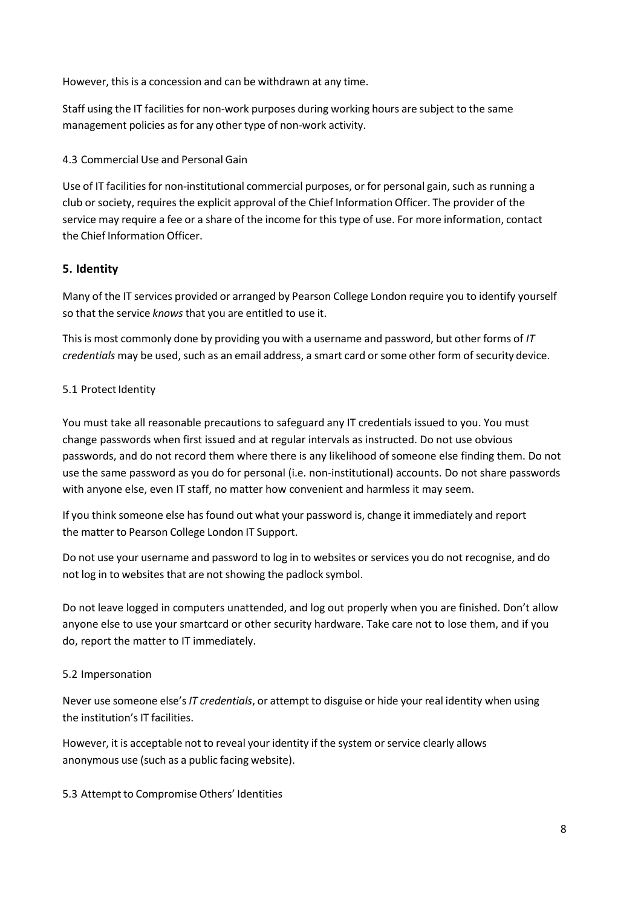However, this is a concession and can be withdrawn at any time.

Staff using the IT facilities for non-work purposes during working hours are subject to the same management policies as for any other type of non-work activity.

4.3 Commercial Use and Personal Gain

Use of IT facilities for non-institutional commercial purposes, or for personal gain, such as running a club orsociety, requires the explicit approval of the Chief Information Officer. The provider of the service may require a fee or a share of the income for this type of use. For more information, contact the Chief Information Officer.

# **5. Identity**

Many of the IT services provided or arranged by Pearson College London require you to identify yourself so that the service *knows* that you are entitled to use it.

Thisis most commonly done by providing you with a username and password, but other forms of *IT credentials* may be used, such as an email address, a smart card or some other form of security device.

## 5.1 Protect Identity

You must take all reasonable precautions to safeguard any IT credentials issued to you. You must change passwords when first issued and at regular intervals as instructed. Do not use obvious passwords, and do not record them where there is any likelihood of someone else finding them. Do not use the same password as you do for personal (i.e. non-institutional) accounts. Do not share passwords with anyone else, even IT staff, no matter how convenient and harmless it may seem.

If you think someone else has found out what your password is, change it immediately and report the matter to Pearson College London IT Support.

Do not use your username and password to log in to websites or services you do not recognise, and do not log in to websites that are not showing the padlock symbol.

Do not leave logged in computers unattended, and log out properly when you are finished. Don't allow anyone else to use your smartcard or other security hardware. Take care not to lose them, and if you do, report the matter to IT immediately.

## 5.2 Impersonation

Never use someone else's*IT credentials*, or attempt to disguise or hide your real identity when using the institution's IT facilities.

However, it is acceptable not to reveal your identity if the system or service clearly allows anonymous use (such as a public facing website).

## 5.3 Attempt to Compromise Others' Identities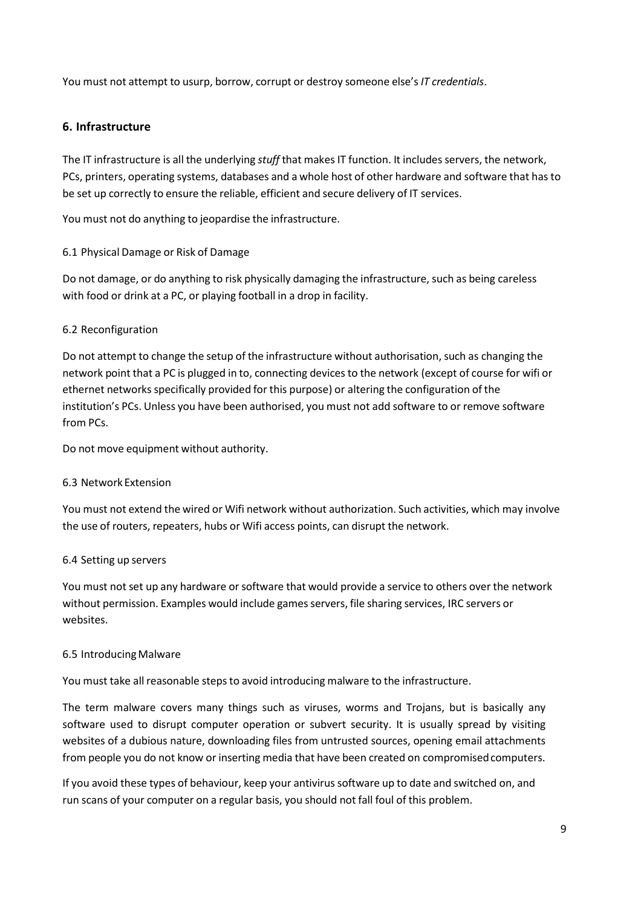You must not attempt to usurp, borrow, corrupt or destroy someone else's*IT credentials*.

## **6. Infrastructure**

The IT infrastructure is all the underlying *stuff* that makes IT function. It includes servers, the network, PCs, printers, operating systems, databases and a whole host of other hardware and software that hasto be set up correctly to ensure the reliable, efficient and secure delivery of IT services.

You must not do anything to jeopardise the infrastructure.

## 6.1 Physical Damage or Risk of Damage

Do not damage, or do anything to risk physically damaging the infrastructure, such as being careless with food or drink at a PC, or playing football in a drop in facility.

## 6.2 Reconfiguration

Do not attempt to change the setup of the infrastructure without authorisation, such as changing the network point that a PC is plugged in to, connecting devicesto the network (except of course for wifi or ethernet networks specifically provided for this purpose) or altering the configuration of the institution's PCs. Unless you have been authorised, you must not add software to or remove software from PCs.

Do not move equipment without authority.

#### 6.3 Network Extension

You must not extend the wired or Wifi network without authorization. Such activities, which may involve the use of routers, repeaters, hubs or Wifi access points, can disrupt the network.

#### 6.4 Setting up servers

You must not set up any hardware or software that would provide a service to others over the network without permission. Examples would include games servers, file sharing services, IRC servers or websites.

#### 6.5 IntroducingMalware

You must take all reasonable stepsto avoid introducing malware to the infrastructure.

The term malware covers many things such as viruses, worms and Trojans, but is basically any software used to disrupt computer operation or subvert security. It is usually spread by visiting websites of a dubious nature, downloading files from untrusted sources, opening email attachments from people you do not know or inserting media that have been created on compromisedcomputers.

If you avoid these types of behaviour, keep your antivirus software up to date and switched on, and run scans of your computer on a regular basis, you should not fall foul of this problem.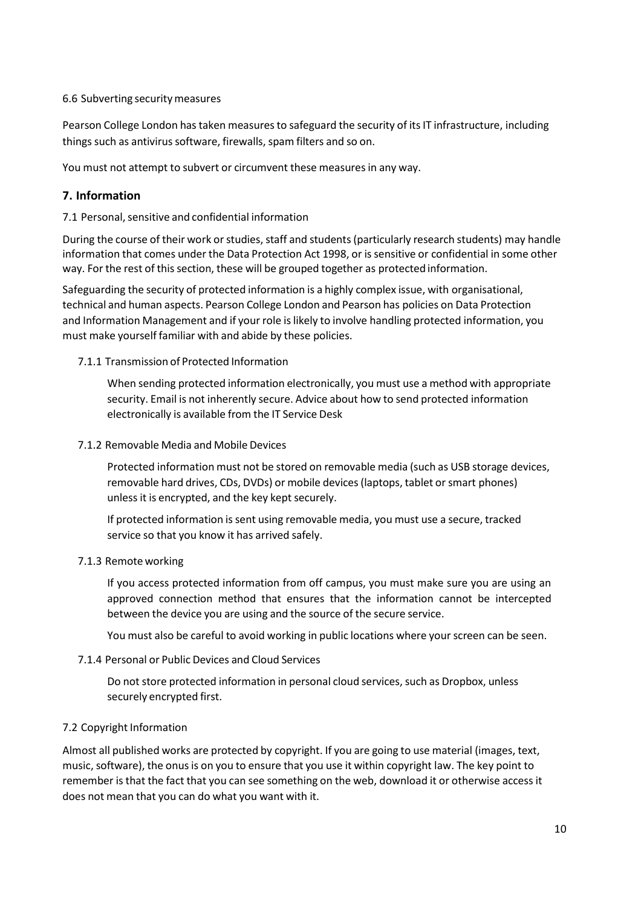#### 6.6 Subverting securitymeasures

Pearson College London has taken measures to safeguard the security of its IT infrastructure, including things such as antivirus software, firewalls, spam filters and so on.

You must not attempt to subvert or circumvent these measures in any way.

# **7. Information**

7.1 Personal, sensitive and confidential information

During the course of their work or studies, staff and students (particularly research students) may handle information that comes under the Data Protection Act 1998, or is sensitive or confidential in some other way. For the rest of this section, these will be grouped together as protectedinformation.

Safeguarding the security of protected information is a highly complex issue, with organisational, technical and human aspects. Pearson College London and Pearson has policies on Data Protection and Information Management and if your role is likely to involve handling protected information, you must make yourself familiar with and abide by these policies.

## 7.1.1 Transmission of Protected Information

When sending protected information electronically, you must use a method with appropriate security. Email is not inherently secure. Advice about how to send protected information electronically is available from the IT Service Desk

#### 7.1.2 Removable Media and Mobile Devices

Protected information must not be stored on removable media (such as USB storage devices, removable hard drives, CDs, DVDs) or mobile devices(laptops, tablet orsmart phones) unless it is encrypted, and the key kept securely.

If protected information issent using removable media, you must use a secure, tracked service so that you know it has arrived safely.

## 7.1.3 Remote working

If you access protected information from off campus, you must make sure you are using an approved connection method that ensures that the information cannot be intercepted between the device you are using and the source of the secure service.

You must also be careful to avoid working in public locations where your screen can be seen.

## 7.1.4 Personal or Public Devices and Cloud Services

Do not store protected information in personal cloud services, such as Dropbox, unless securely encrypted first.

## 7.2 Copyright Information

Almost all published works are protected by copyright. If you are going to use material (images, text, music, software), the onusis on you to ensure that you use it within copyright law. The key point to remember is that the fact that you can see something on the web, download it or otherwise access it does not mean that you can do what you want with it.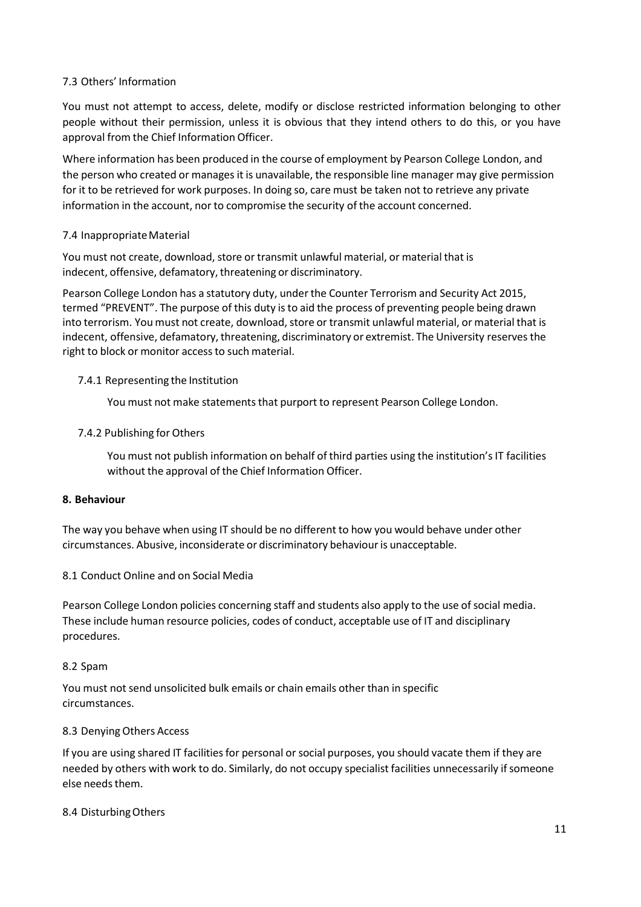#### 7.3 Others' Information

You must not attempt to access, delete, modify or disclose restricted information belonging to other people without their permission, unless it is obvious that they intend others to do this, or you have approval from the Chief Information Officer.

Where information has been produced in the course of employment by Pearson College London, and the person who created or manages it is unavailable, the responsible line manager may give permission for it to be retrieved for work purposes. In doing so, care must be taken not to retrieve any private information in the account, nor to compromise the security of the account concerned.

#### 7.4 Inappropriate Material

You must not create, download, store or transmit unlawful material, or material that is indecent, offensive, defamatory, threatening or discriminatory.

Pearson College London has a statutory duty, underthe Counter Terrorism and Security Act 2015, termed "PREVENT". The purpose of this duty isto aid the process of preventing people being drawn into terrorism. You must not create, download, store or transmit unlawful material, or material that is indecent, offensive, defamatory, threatening, discriminatory or extremist. The University reserves the right to block or monitor access to such material.

#### 7.4.1 Representing the Institution

You must not make statements that purport to represent Pearson College London.

#### 7.4.2 Publishing for Others

You must not publish information on behalf of third parties using the institution's IT facilities without the approval of the Chief Information Officer.

#### **8. Behaviour**

The way you behave when using IT should be no different to how you would behave under other circumstances. Abusive, inconsiderate or discriminatory behaviour is unacceptable.

#### 8.1 Conduct Online and on Social Media

Pearson College London policies concerning staff and students also apply to the use of social media. These include human resource policies, codes of conduct, acceptable use of IT and disciplinary procedures.

#### 8.2 Spam

You must not send unsolicited bulk emails or chain emails other than in specific circumstances.

#### 8.3 Denying Others Access

If you are using shared IT facilities for personal or social purposes, you should vacate them if they are needed by others with work to do. Similarly, do not occupy specialist facilities unnecessarily if someone else needs them.

#### 8.4 DisturbingOthers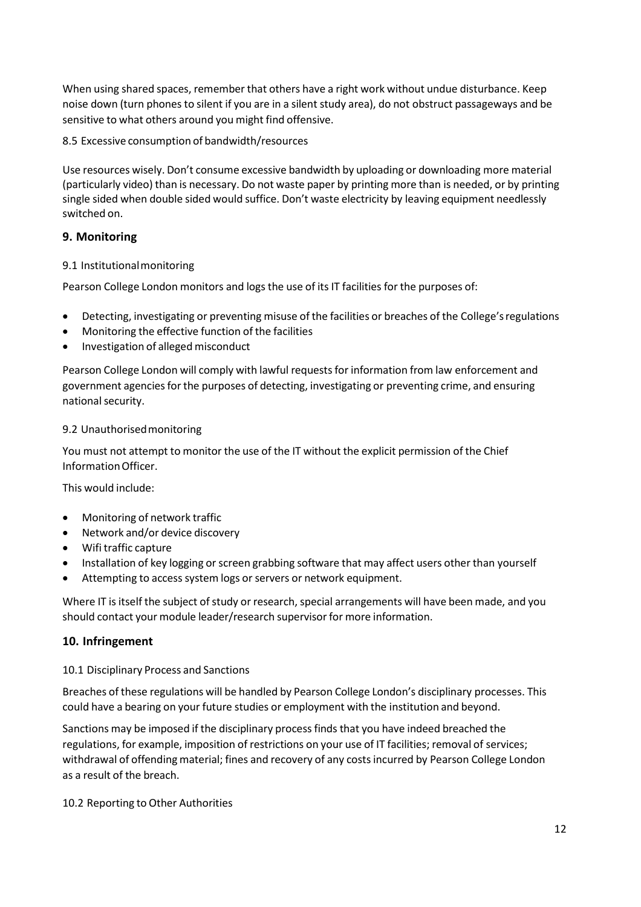When using shared spaces, remember that others have a right work without undue disturbance. Keep noise down (turn phones to silent if you are in a silent study area), do not obstruct passageways and be sensitive to what others around you might find offensive.

8.5 Excessive consumption of bandwidth/resources

Use resources wisely. Don't consume excessive bandwidth by uploading or downloading more material (particularly video) than is necessary. Do not waste paper by printing more than is needed, or by printing single sided when double sided would suffice. Don't waste electricity by leaving equipment needlessly switched on.

# **9. Monitoring**

# 9.1 Institutionalmonitoring

Pearson College London monitors and logs the use of its IT facilities for the purposes of:

- Detecting, investigating or preventing misuse of the facilities or breaches of the College'sregulations
- Monitoring the effective function of the facilities
- Investigation of alleged misconduct

Pearson College London will comply with lawful requestsfor information from law enforcement and government agencies for the purposes of detecting, investigating or preventing crime, and ensuring national security.

## 9.2 Unauthorisedmonitoring

You must not attempt to monitor the use of the IT without the explicit permission of the Chief InformationOfficer.

This would include:

- Monitoring of network traffic
- Network and/or device discovery
- Wifi traffic capture
- Installation of key logging or screen grabbing software that may affect users other than yourself
- Attempting to access system logs or servers or network equipment.

Where IT is itself the subject of study or research, special arrangements will have been made, and you should contact your module leader/research supervisor for more information.

# **10. Infringement**

# 10.1 Disciplinary Process and Sanctions

Breaches of these regulations will be handled by Pearson College London's disciplinary processes. This could have a bearing on your future studies or employment with the institution and beyond.

Sanctions may be imposed if the disciplinary processfinds that you have indeed breached the regulations, for example, imposition of restrictions on your use of IT facilities; removal of services; withdrawal of offending material; fines and recovery of any costsincurred by Pearson College London as a result of the breach.

10.2 Reporting to Other Authorities